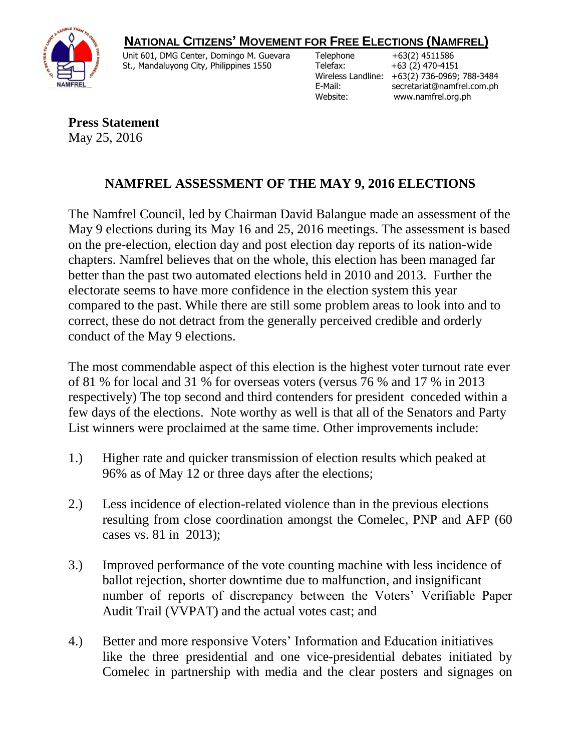## **NATIONAL CITIZENS' MOVEMENT FOR FREE ELECTIONS (NAMFREL)**



 Unit 601, DMG Center, Domingo M. Guevara St., Mandaluyong City, Philippines 1550

Telephone +63(2) 4511586 Telefax: +63 (2) 470-4151

 Wireless Landline: +63(2) 736-0969; 788-3484 E-Mail: secretariat@namfrel.com.ph Website: www.namfrel.org.ph

**Press Statement** May 25, 2016

## **NAMFREL ASSESSMENT OF THE MAY 9, 2016 ELECTIONS**

The Namfrel Council, led by Chairman David Balangue made an assessment of the May 9 elections during its May 16 and 25, 2016 meetings. The assessment is based on the pre-election, election day and post election day reports of its nation-wide chapters. Namfrel believes that on the whole, this election has been managed far better than the past two automated elections held in 2010 and 2013. Further the electorate seems to have more confidence in the election system this year compared to the past. While there are still some problem areas to look into and to correct, these do not detract from the generally perceived credible and orderly conduct of the May 9 elections.

The most commendable aspect of this election is the highest voter turnout rate ever of 81 % for local and 31 % for overseas voters (versus 76 % and 17 % in 2013 respectively) The top second and third contenders for president conceded within a few days of the elections. Note worthy as well is that all of the Senators and Party List winners were proclaimed at the same time. Other improvements include:

- 1.) Higher rate and quicker transmission of election results which peaked at 96% as of May 12 or three days after the elections;
- 2.) Less incidence of election-related violence than in the previous elections resulting from close coordination amongst the Comelec, PNP and AFP (60 cases vs. 81 in 2013);
- 3.) Improved performance of the vote counting machine with less incidence of ballot rejection, shorter downtime due to malfunction, and insignificant number of reports of discrepancy between the Voters' Verifiable Paper Audit Trail (VVPAT) and the actual votes cast; and
- 4.) Better and more responsive Voters' Information and Education initiatives like the three presidential and one vice-presidential debates initiated by Comelec in partnership with media and the clear posters and signages on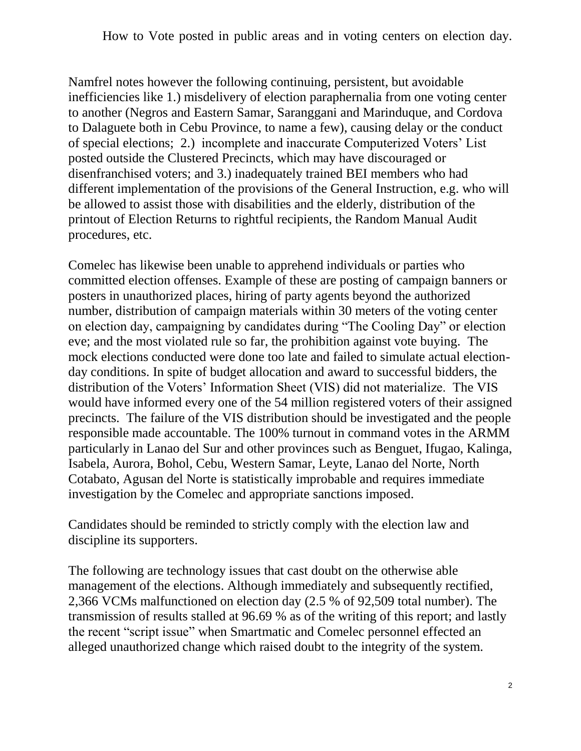How to Vote posted in public areas and in voting centers on election day.

Namfrel notes however the following continuing, persistent, but avoidable inefficiencies like 1.) misdelivery of election paraphernalia from one voting center to another (Negros and Eastern Samar, Saranggani and Marinduque, and Cordova to Dalaguete both in Cebu Province, to name a few), causing delay or the conduct of special elections; 2.) incomplete and inaccurate Computerized Voters' List posted outside the Clustered Precincts, which may have discouraged or disenfranchised voters; and 3.) inadequately trained BEI members who had different implementation of the provisions of the General Instruction, e.g. who will be allowed to assist those with disabilities and the elderly, distribution of the printout of Election Returns to rightful recipients, the Random Manual Audit procedures, etc.

Comelec has likewise been unable to apprehend individuals or parties who committed election offenses. Example of these are posting of campaign banners or posters in unauthorized places, hiring of party agents beyond the authorized number, distribution of campaign materials within 30 meters of the voting center on election day, campaigning by candidates during "The Cooling Day" or election eve; and the most violated rule so far, the prohibition against vote buying. The mock elections conducted were done too late and failed to simulate actual electionday conditions. In spite of budget allocation and award to successful bidders, the distribution of the Voters' Information Sheet (VIS) did not materialize. The VIS would have informed every one of the 54 million registered voters of their assigned precincts. The failure of the VIS distribution should be investigated and the people responsible made accountable. The 100% turnout in command votes in the ARMM particularly in Lanao del Sur and other provinces such as Benguet, Ifugao, Kalinga, Isabela, Aurora, Bohol, Cebu, Western Samar, Leyte, Lanao del Norte, North Cotabato, Agusan del Norte is statistically improbable and requires immediate investigation by the Comelec and appropriate sanctions imposed.

Candidates should be reminded to strictly comply with the election law and discipline its supporters.

The following are technology issues that cast doubt on the otherwise able management of the elections. Although immediately and subsequently rectified, 2,366 VCMs malfunctioned on election day (2.5 % of 92,509 total number). The transmission of results stalled at 96.69 % as of the writing of this report; and lastly the recent "script issue" when Smartmatic and Comelec personnel effected an alleged unauthorized change which raised doubt to the integrity of the system.